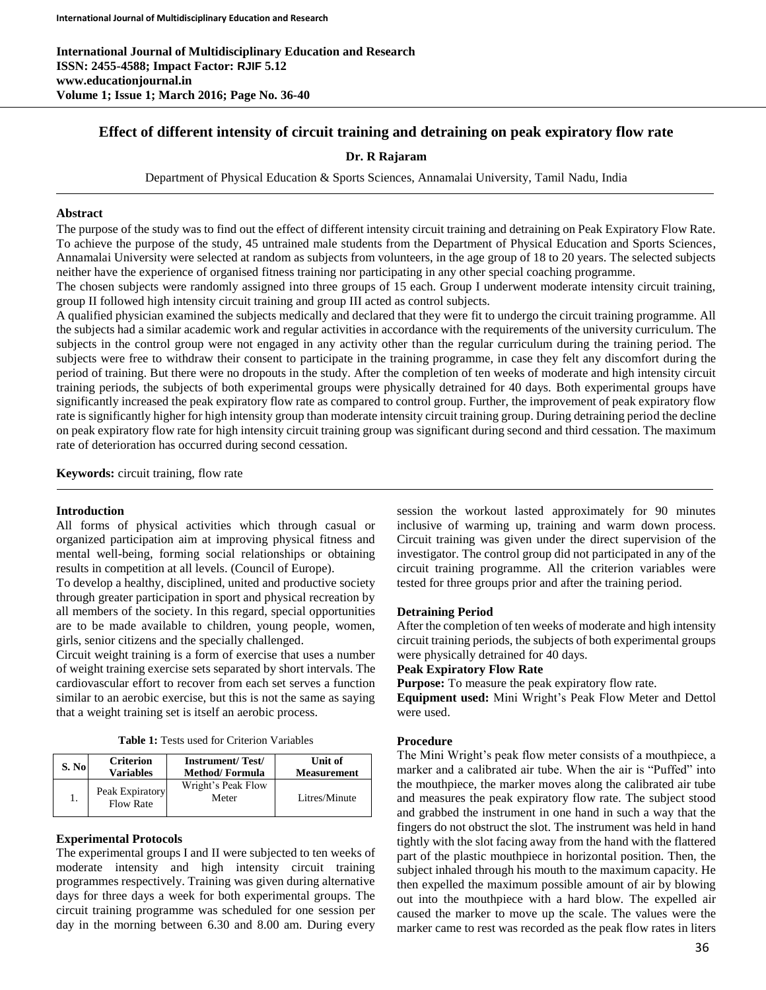# **Effect of different intensity of circuit training and detraining on peak expiratory flow rate**

## **Dr. R Rajaram**

Department of Physical Education & Sports Sciences, Annamalai University, Tamil Nadu, India

## **Abstract**

The purpose of the study was to find out the effect of different intensity circuit training and detraining on Peak Expiratory Flow Rate. To achieve the purpose of the study, 45 untrained male students from the Department of Physical Education and Sports Sciences, Annamalai University were selected at random as subjects from volunteers, in the age group of 18 to 20 years. The selected subjects neither have the experience of organised fitness training nor participating in any other special coaching programme.

The chosen subjects were randomly assigned into three groups of 15 each. Group I underwent moderate intensity circuit training, group II followed high intensity circuit training and group III acted as control subjects.

A qualified physician examined the subjects medically and declared that they were fit to undergo the circuit training programme. All the subjects had a similar academic work and regular activities in accordance with the requirements of the university curriculum. The subjects in the control group were not engaged in any activity other than the regular curriculum during the training period. The subjects were free to withdraw their consent to participate in the training programme, in case they felt any discomfort during the period of training. But there were no dropouts in the study. After the completion of ten weeks of moderate and high intensity circuit training periods, the subjects of both experimental groups were physically detrained for 40 days. Both experimental groups have significantly increased the peak expiratory flow rate as compared to control group. Further, the improvement of peak expiratory flow rate is significantly higher for high intensity group than moderate intensity circuit training group. During detraining period the decline on peak expiratory flow rate for high intensity circuit training group was significant during second and third cessation. The maximum rate of deterioration has occurred during second cessation.

**Keywords:** circuit training, flow rate

### **Introduction**

All forms of physical activities which through casual or organized participation aim at improving physical fitness and mental well-being, forming social relationships or obtaining results in competition at all levels. (Council of Europe).

To develop a healthy, disciplined, united and productive society through greater participation in sport and physical recreation by all members of the society. In this regard, special opportunities are to be made available to children, young people, women, girls, senior citizens and the specially challenged.

Circuit weight training is a form of exercise that uses a number of weight training exercise sets separated by short intervals. The cardiovascular effort to recover from each set serves a function similar to an aerobic exercise, but this is not the same as saying that a weight training set is itself an aerobic process.

| S. No | <b>Criterion</b>                    | <b>Instrument/Test/</b>     | Unit of            |
|-------|-------------------------------------|-----------------------------|--------------------|
|       | <b>Variables</b>                    | <b>Method/Formula</b>       | <b>Measurement</b> |
|       | Peak Expiratory<br><b>Flow Rate</b> | Wright's Peak Flow<br>Meter | Litres/Minute      |

### **Experimental Protocols**

The experimental groups I and II were subjected to ten weeks of moderate intensity and high intensity circuit training programmes respectively. Training was given during alternative days for three days a week for both experimental groups. The circuit training programme was scheduled for one session per day in the morning between 6.30 and 8.00 am. During every

session the workout lasted approximately for 90 minutes inclusive of warming up, training and warm down process. Circuit training was given under the direct supervision of the investigator. The control group did not participated in any of the circuit training programme. All the criterion variables were tested for three groups prior and after the training period.

### **Detraining Period**

After the completion of ten weeks of moderate and high intensity circuit training periods, the subjects of both experimental groups were physically detrained for 40 days.

**Peak Expiratory Flow Rate**

**Purpose:** To measure the peak expiratory flow rate.

**Equipment used:** Mini Wright's Peak Flow Meter and Dettol were used.

### **Procedure**

The Mini Wright's peak flow meter consists of a mouthpiece, a marker and a calibrated air tube. When the air is "Puffed" into the mouthpiece, the marker moves along the calibrated air tube and measures the peak expiratory flow rate. The subject stood and grabbed the instrument in one hand in such a way that the fingers do not obstruct the slot. The instrument was held in hand tightly with the slot facing away from the hand with the flattered part of the plastic mouthpiece in horizontal position. Then, the subject inhaled through his mouth to the maximum capacity. He then expelled the maximum possible amount of air by blowing out into the mouthpiece with a hard blow. The expelled air caused the marker to move up the scale. The values were the marker came to rest was recorded as the peak flow rates in liters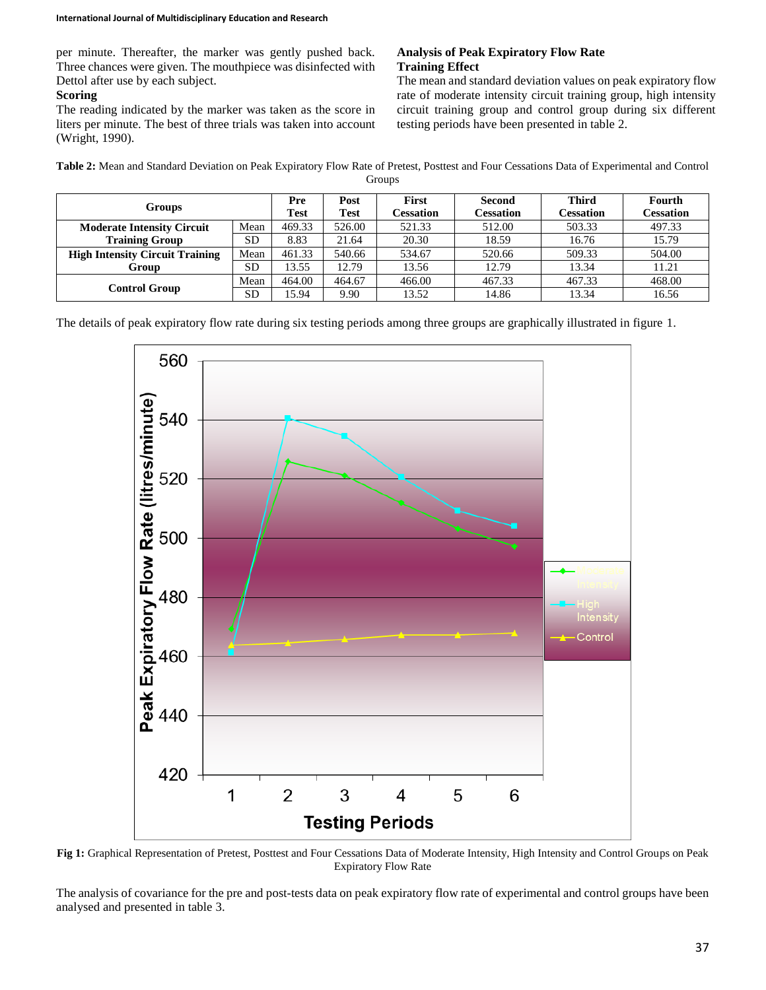per minute. Thereafter, the marker was gently pushed back. Three chances were given. The mouthpiece was disinfected with Dettol after use by each subject.

## **Scoring**

The reading indicated by the marker was taken as the score in liters per minute. The best of three trials was taken into account (Wright, 1990).

## **Analysis of Peak Expiratory Flow Rate Training Effect**

The mean and standard deviation values on peak expiratory flow rate of moderate intensity circuit training group, high intensity circuit training group and control group during six different testing periods have been presented in table 2.

**Table 2:** Mean and Standard Deviation on Peak Expiratory Flow Rate of Pretest, Posttest and Four Cessations Data of Experimental and Control Groups

| <b>Groups</b>                          |           | Pre<br><b>Test</b> | Post<br><b>Test</b> | <b>First</b><br>Cessation | Second<br><b>Cessation</b> | <b>Third</b><br>Cessation | Fourth<br><b>Cessation</b> |
|----------------------------------------|-----------|--------------------|---------------------|---------------------------|----------------------------|---------------------------|----------------------------|
| <b>Moderate Intensity Circuit</b>      | Mean      | 469.33             | 526.00              | 521.33                    | 512.00                     | 503.33                    | 497.33                     |
| <b>Training Group</b>                  | <b>SD</b> | 8.83               | 21.64               | 20.30                     | 18.59                      | 16.76                     | 15.79                      |
| <b>High Intensity Circuit Training</b> | Mean      | 461.33             | 540.66              | 534.67                    | 520.66                     | 509.33                    | 504.00                     |
| Group                                  | <b>SD</b> | 3.55               | 12.79               | 13.56                     | 12.79                      | 13.34                     | 11.21                      |
| Control Group                          | Mean      | 464.00             | 464.67              | 466.00                    | 467.33                     | 467.33                    | 468.00                     |
|                                        | <b>SD</b> | 15.94              | 9.90                | 13.52                     | 14.86                      | 13.34                     | 16.56                      |

The details of peak expiratory flow rate during six testing periods among three groups are graphically illustrated in figure 1.



**Fig 1:** Graphical Representation of Pretest, Posttest and Four Cessations Data of Moderate Intensity, High Intensity and Control Groups on Peak Expiratory Flow Rate

The analysis of covariance for the pre and post-tests data on peak expiratory flow rate of experimental and control groups have been analysed and presented in table 3.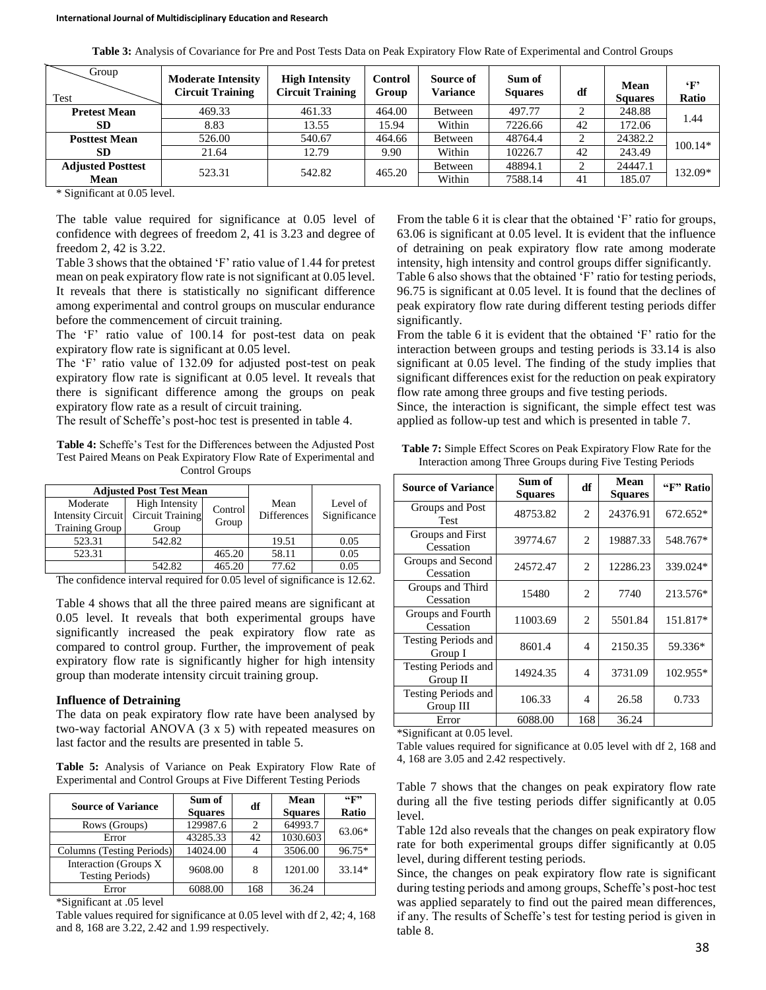| Group<br>Test            | <b>Moderate Intensity</b><br><b>Circuit Training</b> | <b>High Intensity</b><br><b>Circuit Training</b> | Control<br>Group | Source of<br><b>Variance</b> | Sum of<br><b>Squares</b> | df | <b>Mean</b><br><b>Squares</b> | $\cdot_F$<br>Ratio |
|--------------------------|------------------------------------------------------|--------------------------------------------------|------------------|------------------------------|--------------------------|----|-------------------------------|--------------------|
| <b>Pretest Mean</b>      | 469.33                                               | 461.33                                           | 464.00           | Between                      | 497.77                   | ◠  | 248.88                        | 1.44               |
| <b>SD</b>                | 8.83                                                 | 13.55                                            | 15.94            | Within                       | 7226.66                  | 42 | 172.06                        |                    |
| <b>Posttest Mean</b>     | 526.00                                               | 540.67                                           | 464.66           | Between                      | 48764.4                  | ◠  | 24382.2                       | $100.14*$          |
| <b>SD</b>                | 21.64                                                | 12.79                                            | 9.90             | Within                       | 10226.7                  | 42 | 243.49                        |                    |
| <b>Adjusted Posttest</b> | 523.31                                               | 542.82                                           | 465.20           | Between                      | 48894.1                  | 2  | 24447.1                       | 132.09*            |
| Mean                     |                                                      |                                                  |                  | Within                       | 7588.14                  | 41 | 185.07                        |                    |

\* Significant at 0.05 level.

The table value required for significance at 0.05 level of confidence with degrees of freedom 2, 41 is 3.23 and degree of freedom 2, 42 is 3.22.

Table 3 shows that the obtained 'F' ratio value of 1.44 for pretest mean on peak expiratory flow rate is not significant at 0.05 level. It reveals that there is statistically no significant difference among experimental and control groups on muscular endurance before the commencement of circuit training.

The 'F' ratio value of 100.14 for post-test data on peak expiratory flow rate is significant at 0.05 level.

The 'F' ratio value of 132.09 for adjusted post-test on peak expiratory flow rate is significant at 0.05 level. It reveals that there is significant difference among the groups on peak expiratory flow rate as a result of circuit training.

The result of Scheffe's post-hoc test is presented in table 4.

**Table 4:** Scheffe's Test for the Differences between the Adjusted Post Test Paired Means on Peak Expiratory Flow Rate of Experimental and Control Groups

|                          | <b>Adjusted Post Test Mean</b> |         |                    |              |  |
|--------------------------|--------------------------------|---------|--------------------|--------------|--|
| Moderate                 | <b>High Intensity</b>          | Control | Mean               | Level of     |  |
| <b>Intensity Circuit</b> | <b>Circuit Training</b>        |         | <b>Differences</b> | Significance |  |
| Training Group           | Group                          | Group   |                    |              |  |
| 523.31                   | 542.82                         |         | 19.51              | 0.05         |  |
| 523.31                   |                                | 465.20  | 58.11              | 0.05         |  |
|                          | 542.82                         | 465.20  | 77.62              | 0.05         |  |

The confidence interval required for 0.05 level of significance is 12.62.

Table 4 shows that all the three paired means are significant at 0.05 level. It reveals that both experimental groups have significantly increased the peak expiratory flow rate as compared to control group. Further, the improvement of peak expiratory flow rate is significantly higher for high intensity group than moderate intensity circuit training group.

#### **Influence of Detraining**

The data on peak expiratory flow rate have been analysed by two-way factorial ANOVA (3 x 5) with repeated measures on last factor and the results are presented in table 5.

**Table 5:** Analysis of Variance on Peak Expiratory Flow Rate of Experimental and Control Groups at Five Different Testing Periods

| <b>Source of Variance</b>                          | Sum of<br><b>Squares</b> | df                          | Mean<br><b>Squares</b> | 44F<br>Ratio |
|----------------------------------------------------|--------------------------|-----------------------------|------------------------|--------------|
| Rows (Groups)                                      | 129987.6                 | $\mathcal{D}_{\mathcal{L}}$ | 64993.7                | $63.06*$     |
| Error                                              | 43285.33                 | 42                          | 1030.603               |              |
| Columns (Testing Periods)                          | 14024.00                 |                             | 3506.00                | $96.75*$     |
| Interaction (Groups X)<br><b>Testing Periods</b> ) | 9608.00                  | 8                           | 1201.00                | $33.14*$     |
| Error                                              | 6088.00                  | 168                         | 36.24                  |              |

\*Significant at .05 level

Table values required for significance at 0.05 level with df 2, 42; 4, 168 and 8, 168 are 3.22, 2.42 and 1.99 respectively.

From the table 6 it is clear that the obtained 'F' ratio for groups, 63.06 is significant at 0.05 level. It is evident that the influence of detraining on peak expiratory flow rate among moderate intensity, high intensity and control groups differ significantly. Table 6 also shows that the obtained 'F' ratio for testing periods, 96.75 is significant at 0.05 level. It is found that the declines of peak expiratory flow rate during different testing periods differ significantly.

From the table 6 it is evident that the obtained 'F' ratio for the interaction between groups and testing periods is 33.14 is also significant at 0.05 level. The finding of the study implies that significant differences exist for the reduction on peak expiratory flow rate among three groups and five testing periods.

Since, the interaction is significant, the simple effect test was applied as follow-up test and which is presented in table 7.

| <b>Table 7:</b> Simple Effect Scores on Peak Expiratory Flow Rate for the |
|---------------------------------------------------------------------------|
| Interaction among Three Groups during Five Testing Periods                |

| <b>Source of Variance</b>               | Sum of<br><b>Squares</b> | df             | <b>Mean</b><br><b>Squares</b> | "F" Ratio |
|-----------------------------------------|--------------------------|----------------|-------------------------------|-----------|
| Groups and Post<br><b>Test</b>          | 48753.82                 | 2              | 24376.91                      | 672.652*  |
| Groups and First<br>Cessation           | 39774.67                 | 2              | 19887.33                      | 548.767*  |
| Groups and Second<br>Cessation          | 24572.47                 | 2              | 12286.23                      | 339.024*  |
| Groups and Third<br>Cessation           | 15480                    | $\overline{c}$ | 7740                          | 213.576*  |
| Groups and Fourth<br>Cessation          | 11003.69                 | 2              | 5501.84                       | 151.817*  |
| <b>Testing Periods and</b><br>Group I   | 8601.4                   | $\overline{4}$ | 2150.35                       | 59.336*   |
| <b>Testing Periods and</b><br>Group II  | 14924.35                 | $\overline{4}$ | 3731.09                       | 102.955*  |
| <b>Testing Periods and</b><br>Group III | 106.33                   | 4              | 26.58                         | 0.733     |
| Error                                   | 6088.00                  | 168            | 36.24                         |           |

\*Significant at 0.05 level.

Table values required for significance at 0.05 level with df 2, 168 and 4, 168 are 3.05 and 2.42 respectively.

Table 7 shows that the changes on peak expiratory flow rate during all the five testing periods differ significantly at 0.05 level.

Table 12d also reveals that the changes on peak expiratory flow rate for both experimental groups differ significantly at 0.05 level, during different testing periods.

Since, the changes on peak expiratory flow rate is significant during testing periods and among groups, Scheffe's post-hoc test was applied separately to find out the paired mean differences, if any. The results of Scheffe's test for testing period is given in table 8.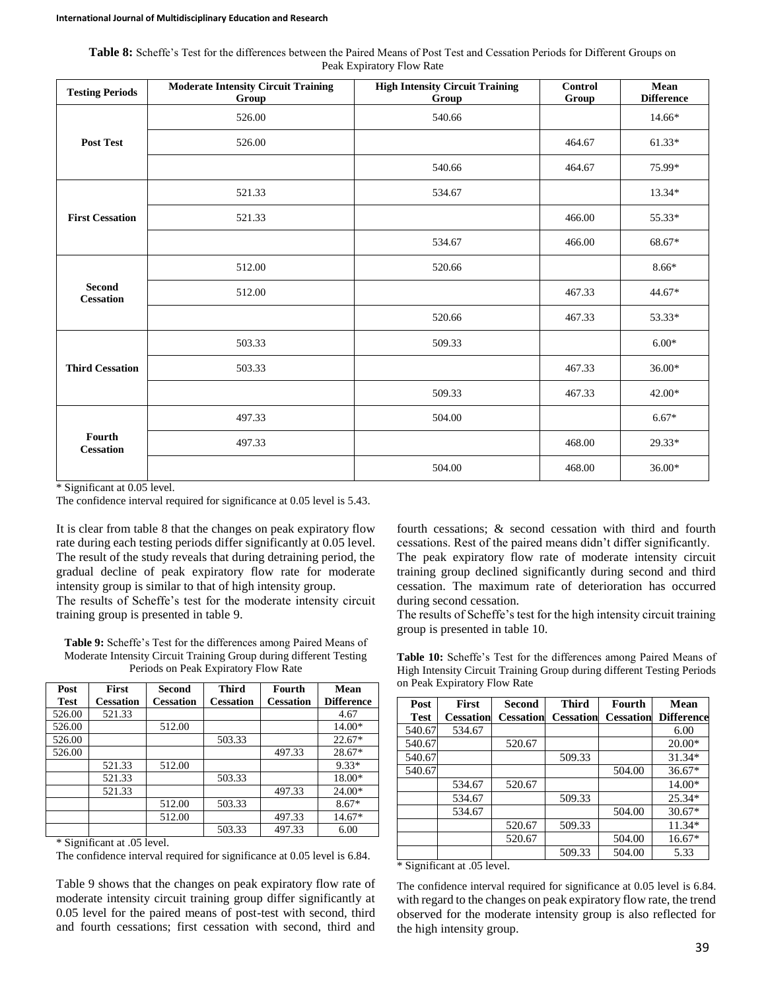| <b>Table 8:</b> Scheffe's Test for the differences between the Paired Means of Post Test and Cessation Periods for Different Groups on |  |
|----------------------------------------------------------------------------------------------------------------------------------------|--|
| Peak Expiratory Flow Rate                                                                                                              |  |

| <b>Testing Periods</b>            | <b>Moderate Intensity Circuit Training</b><br>Group | <b>High Intensity Circuit Training</b><br>Group | <b>Control</b><br>Group | Mean<br><b>Difference</b> |
|-----------------------------------|-----------------------------------------------------|-------------------------------------------------|-------------------------|---------------------------|
|                                   | 526.00                                              | 540.66                                          |                         | 14.66*                    |
| <b>Post Test</b>                  | 526.00                                              |                                                 | 464.67                  | $61.33*$                  |
|                                   |                                                     | 540.66                                          | 464.67                  | 75.99*                    |
|                                   | 521.33                                              | 534.67                                          |                         | 13.34*                    |
| <b>First Cessation</b>            | 521.33                                              |                                                 | 466.00                  | 55.33*                    |
|                                   |                                                     | 534.67                                          | 466.00                  | 68.67*                    |
|                                   | 512.00                                              | 520.66                                          |                         | $8.66*$                   |
| <b>Second</b><br><b>Cessation</b> | 512.00                                              |                                                 | 467.33                  | 44.67*                    |
|                                   |                                                     | 520.66                                          | 467.33                  | 53.33*                    |
|                                   | 503.33                                              | 509.33                                          |                         | $6.00*$                   |
| <b>Third Cessation</b>            | 503.33                                              |                                                 | 467.33                  | $36.00*$                  |
|                                   |                                                     | 509.33                                          | 467.33                  | $42.00*$                  |
|                                   | 497.33                                              | 504.00                                          |                         | $6.67*$                   |
| Fourth<br><b>Cessation</b>        | 497.33                                              |                                                 | 468.00                  | 29.33*                    |
|                                   |                                                     | 504.00                                          | 468.00                  | 36.00*                    |

\* Significant at 0.05 level.

The confidence interval required for significance at 0.05 level is 5.43.

It is clear from table 8 that the changes on peak expiratory flow rate during each testing periods differ significantly at 0.05 level. The result of the study reveals that during detraining period, the gradual decline of peak expiratory flow rate for moderate intensity group is similar to that of high intensity group. The results of Scheffe's test for the moderate intensity circuit

training group is presented in table 9.

**Table 9:** Scheffe's Test for the differences among Paired Means of Moderate Intensity Circuit Training Group during different Testing Periods on Peak Expiratory Flow Rate

| Post        | <b>First</b>     | <b>Second</b>    | <b>Third</b>     | Fourth           | Mean              |
|-------------|------------------|------------------|------------------|------------------|-------------------|
| <b>Test</b> | <b>Cessation</b> | <b>Cessation</b> | <b>Cessation</b> | <b>Cessation</b> | <b>Difference</b> |
| 526.00      | 521.33           |                  |                  |                  | 4.67              |
| 526.00      |                  | 512.00           |                  |                  | 14.00*            |
| 526.00      |                  |                  | 503.33           |                  | $22.67*$          |
| 526.00      |                  |                  |                  | 497.33           | $28.67*$          |
|             | 521.33           | 512.00           |                  |                  | 9.33*             |
|             | 521.33           |                  | 503.33           |                  | 18.00*            |
|             | 521.33           |                  |                  | 497.33           | $24.00*$          |
|             |                  | 512.00           | 503.33           |                  | $8.67*$           |
|             |                  | 512.00           |                  | 497.33           | $14.67*$          |
|             |                  |                  | 503.33           | 497.33           | 6.00              |

\* Significant at .05 level.

The confidence interval required for significance at 0.05 level is 6.84.

Table 9 shows that the changes on peak expiratory flow rate of moderate intensity circuit training group differ significantly at 0.05 level for the paired means of post-test with second, third and fourth cessations; first cessation with second, third and

fourth cessations; & second cessation with third and fourth cessations. Rest of the paired means didn't differ significantly.

The peak expiratory flow rate of moderate intensity circuit training group declined significantly during second and third cessation. The maximum rate of deterioration has occurred during second cessation.

The results of Scheffe's test for the high intensity circuit training group is presented in table 10.

Table 10: Scheffe's Test for the differences among Paired Means of High Intensity Circuit Training Group during different Testing Periods on Peak Expiratory Flow Rate

| Post   | First            | <b>Second</b>    | <b>Third</b>     | Fourth           | Mean              |
|--------|------------------|------------------|------------------|------------------|-------------------|
| Test   | <b>Cessation</b> | <b>Cessation</b> | <b>Cessation</b> | <b>Cessation</b> | <b>Difference</b> |
| 540.67 | 534.67           |                  |                  |                  | 6.00              |
| 540.67 |                  | 520.67           |                  |                  | $20.00*$          |
| 540.67 |                  |                  | 509.33           |                  | $31.34*$          |
| 540.67 |                  |                  |                  | 504.00           | $36.67*$          |
|        | 534.67           | 520.67           |                  |                  | $14.00*$          |
|        | 534.67           |                  | 509.33           |                  | $25.34*$          |
|        | 534.67           |                  |                  | 504.00           | $30.67*$          |
|        |                  | 520.67           | 509.33           |                  | $11.34*$          |
|        |                  | 520.67           |                  | 504.00           | $16.67*$          |
|        |                  |                  | 509.33           | 504.00           | 5.33              |

\* Significant at .05 level.

The confidence interval required for significance at 0.05 level is 6.84. with regard to the changes on peak expiratory flow rate, the trend observed for the moderate intensity group is also reflected for the high intensity group.